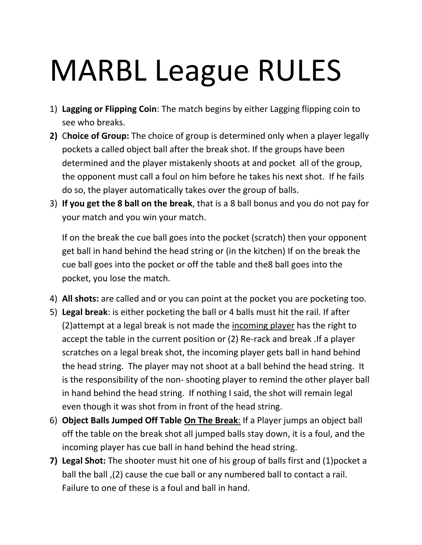## MARBL League RULES

- 1) **Lagging or Flipping Coin**: The match begins by either Lagging flipping coin to see who breaks.
- **2)** C**hoice of Group:** The choice of group is determined only when a player legally pockets a called object ball after the break shot. If the groups have been determined and the player mistakenly shoots at and pocket all of the group, the opponent must call a foul on him before he takes his next shot. If he fails do so, the player automatically takes over the group of balls.
- 3) **If you get the 8 ball on the break**, that is a 8 ball bonus and you do not pay for your match and you win your match.

If on the break the cue ball goes into the pocket (scratch) then your opponent get ball in hand behind the head string or (in the kitchen) If on the break the cue ball goes into the pocket or off the table and the8 ball goes into the pocket, you lose the match.

- 4) **All shots:** are called and or you can point at the pocket you are pocketing too.
- 5) **Legal break**: is either pocketing the ball or 4 balls must hit the rail. If after (2)attempt at a legal break is not made the incoming player has the right to accept the table in the current position or (2) Re-rack and break .If a player scratches on a legal break shot, the incoming player gets ball in hand behind the head string. The player may not shoot at a ball behind the head string. It is the responsibility of the non- shooting player to remind the other player ball in hand behind the head string. If nothing I said, the shot will remain legal even though it was shot from in front of the head string.
- 6) **Object Balls Jumped Off Table On The Break**: If a Player jumps an object ball off the table on the break shot all jumped balls stay down, it is a foul, and the incoming player has cue ball in hand behind the head string.
- **7) Legal Shot:** The shooter must hit one of his group of balls first and (1)pocket a ball the ball ,(2) cause the cue ball or any numbered ball to contact a rail. Failure to one of these is a foul and ball in hand.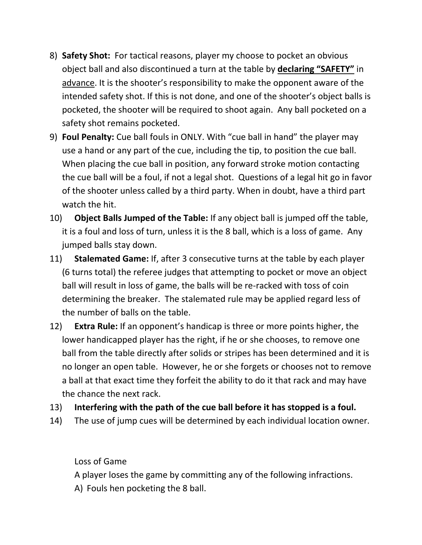- 8) **Safety Shot:** For tactical reasons, player my choose to pocket an obvious object ball and also discontinued a turn at the table by **declaring "SAFETY"** in advance. It is the shooter's responsibility to make the opponent aware of the intended safety shot. If this is not done, and one of the shooter's object balls is pocketed, the shooter will be required to shoot again. Any ball pocketed on a safety shot remains pocketed.
- 9) **Foul Penalty:** Cue ball fouls in ONLY. With "cue ball in hand" the player may use a hand or any part of the cue, including the tip, to position the cue ball. When placing the cue ball in position, any forward stroke motion contacting the cue ball will be a foul, if not a legal shot. Questions of a legal hit go in favor of the shooter unless called by a third party. When in doubt, have a third part watch the hit.
- 10) **Object Balls Jumped of the Table:** If any object ball is jumped off the table, it is a foul and loss of turn, unless it is the 8 ball, which is a loss of game. Any jumped balls stay down.
- 11) **Stalemated Game:** If, after 3 consecutive turns at the table by each player (6 turns total) the referee judges that attempting to pocket or move an object ball will result in loss of game, the balls will be re-racked with toss of coin determining the breaker. The stalemated rule may be applied regard less of the number of balls on the table.
- 12) **Extra Rule:** If an opponent's handicap is three or more points higher, the lower handicapped player has the right, if he or she chooses, to remove one ball from the table directly after solids or stripes has been determined and it is no longer an open table. However, he or she forgets or chooses not to remove a ball at that exact time they forfeit the ability to do it that rack and may have the chance the next rack.
- 13) **Interfering with the path of the cue ball before it has stopped is a foul.**
- 14) The use of jump cues will be determined by each individual location owner.

Loss of Game

A player loses the game by committing any of the following infractions.

A) Fouls hen pocketing the 8 ball.